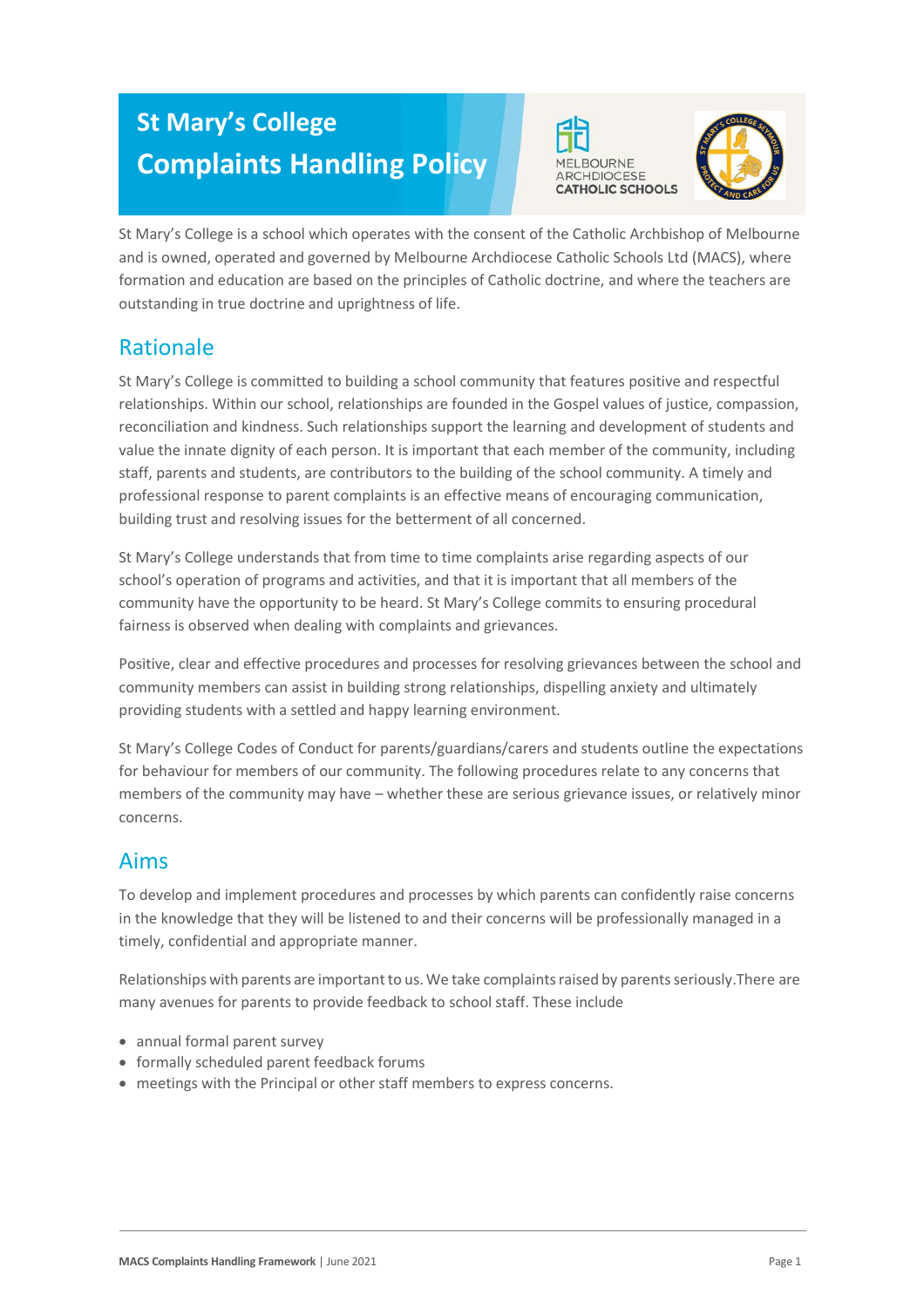# **St Mary's College Complaints Handling Policy**





St Mary's College is a school which operates with the consent of the Catholic Archbishop of Melbourne and is owned, operated and governed by Melbourne Archdiocese Catholic Schools Ltd (MACS), where formation and education are based on the principles of Catholic doctrine, and where the teachers are outstanding in true doctrine and uprightness of life.

# Rationale

St Mary's College is committed to building a school community that features positive and respectful relationships. Within our school, relationships are founded in the Gospel values of justice, compassion, reconciliation and kindness. Such relationships support the learning and development of students and value the innate dignity of each person. It is important that each member of the community, including staff, parents and students, are contributors to the building of the school community. A timely and professional response to parent complaints is an effective means of encouraging communication, building trust and resolving issues for the betterment of all concerned.

St Mary's College understands that from time to time complaints arise regarding aspects of our school's operation of programs and activities, and that it is important that all members of the community have the opportunity to be heard. St Mary's College commits to ensuring procedural fairness is observed when dealing with complaints and grievances.

Positive, clear and effective procedures and processes for resolving grievances between the school and community members can assist in building strong relationships, dispelling anxiety and ultimately providing students with a settled and happy learning environment.

St Mary's College Codes of Conduct for parents/guardians/carers and students outline the expectations for behaviour for members of our community. The following procedures relate to any concerns that members of the community may have – whether these are serious grievance issues, or relatively minor concerns.

# Aims

To develop and implement procedures and processes by which parents can confidently raise concerns in the knowledge that they will be listened to and their concerns will be professionally managed in a timely, confidential and appropriate manner.

Relationships with parents are important to us. We take complaints raised by parents seriously. There are many avenues for parents to provide feedback to school staff. These include

- annual formal parent survey
- formally scheduled parent feedback forums
- meetings with the Principal or other staff members to express concerns.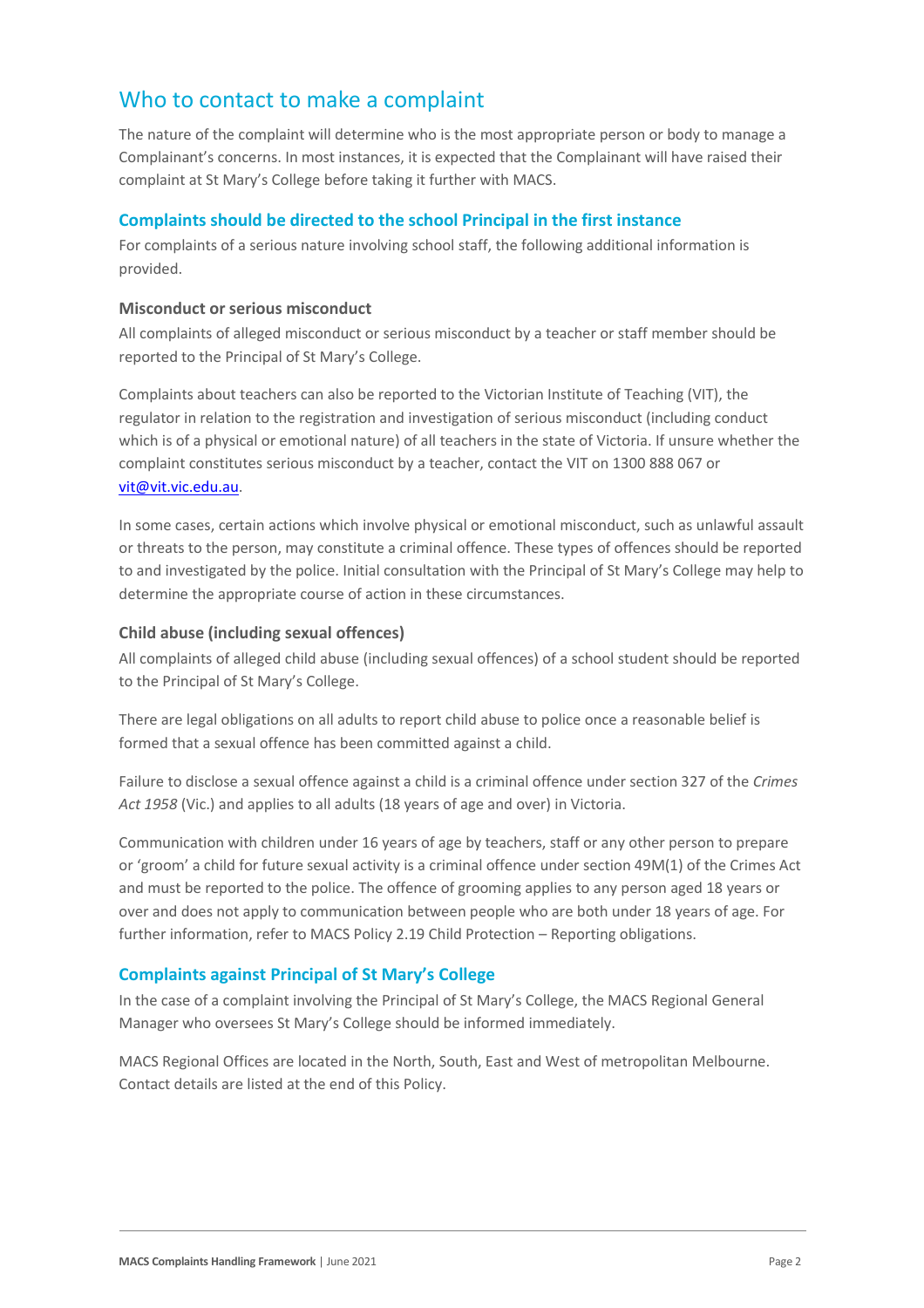## Who to contact to make a complaint

The nature of the complaint will determine who is the most appropriate person or body to manage a Complainant's concerns. In most instances, it is expected that the Complainant will have raised their complaint at St Mary's College before taking it further with MACS.

#### **Complaints should be directed to the school Principal in the first instance**

For complaints of a serious nature involving school staff, the following additional information is provided.

#### **Misconduct or serious misconduct**

All complaints of alleged misconduct or serious misconduct by a teacher or staff member should be reported to the Principal of St Mary's College.

Complaints about teachers can also be reported to the Victorian Institute of Teaching (VIT), the regulator in relation to the registration and investigation of serious misconduct (including conduct which is of a physical or emotional nature) of all teachers in the state of Victoria. If unsure whether the complaint constitutes serious misconduct by a teacher, contact the VIT on 1300 888 067 or [vit@vit.vic.edu.au.](mailto:vit@vit.vic.edu.au)

In some cases, certain actions which involve physical or emotional misconduct, such as unlawful assault or threats to the person, may constitute a criminal offence. These types of offences should be reported to and investigated by the police. Initial consultation with the Principal of St Mary's College may help to determine the appropriate course of action in these circumstances.

#### **Child abuse (including sexual offences)**

All complaints of alleged child abuse (including sexual offences) of a school student should be reported to the Principal of St Mary's College.

There are legal obligations on all adults to report child abuse to police once a reasonable belief is formed that a sexual offence has been committed against a child.

Failure to disclose a sexual offence against a child is a criminal offence under section 327 of the *Crimes Act 1958* (Vic.) and applies to all adults (18 years of age and over) in Victoria.

Communication with children under 16 years of age by teachers, staff or any other person to prepare or 'groom' a child for future sexual activity is a criminal offence under section 49M(1) of the Crimes Act and must be reported to the police. The offence of grooming applies to any person aged 18 years or over and does not apply to communication between people who are both under 18 years of age. For further information, refer to MACS Policy 2.19 Child Protection – Reporting obligations.

#### **Complaints against Principal of St Mary's College**

In the case of a complaint involving the Principal of St Mary's College, the MACS Regional General Manager who oversees St Mary's College should be informed immediately.

MACS Regional Offices are located in the North, South, East and West of metropolitan Melbourne. Contact details are listed at the end of this Policy.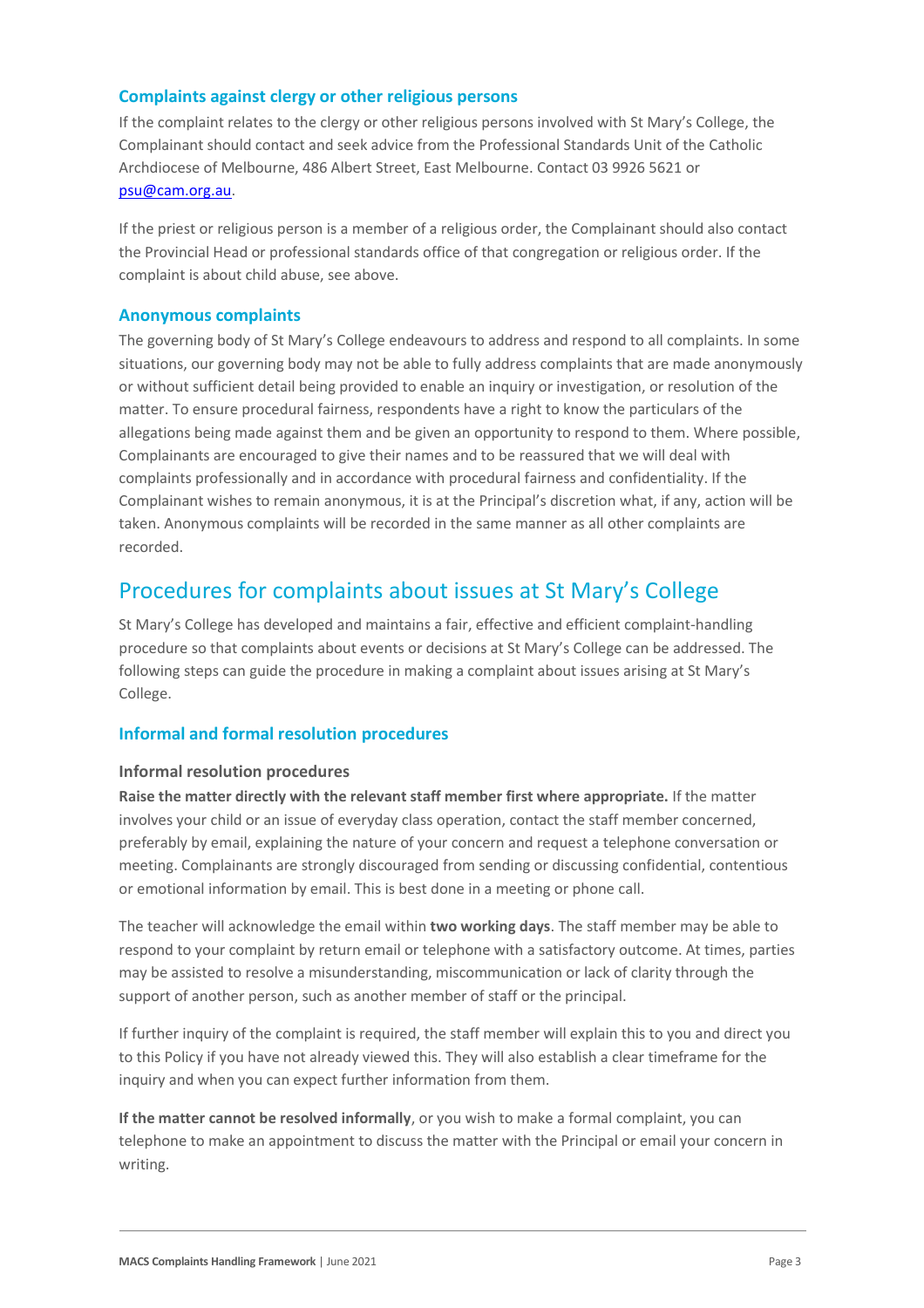#### **Complaints against clergy or other religious persons**

If the complaint relates to the clergy or other religious persons involved with St Mary's College, the Complainant should contact and seek advice from the Professional Standards Unit of the Catholic Archdiocese of Melbourne, 486 Albert Street, East Melbourne. Contact 03 9926 5621 or [psu@cam.org.au.](mailto:psu@cam.org.au)

If the priest or religious person is a member of a religious order, the Complainant should also contact the Provincial Head or professional standards office of that congregation or religious order. If the complaint is about child abuse, see above.

#### **Anonymous complaints**

The governing body of St Mary's College endeavours to address and respond to all complaints. In some situations, our governing body may not be able to fully address complaints that are made anonymously or without sufficient detail being provided to enable an inquiry or investigation, or resolution of the matter. To ensure procedural fairness, respondents have a right to know the particulars of the allegations being made against them and be given an opportunity to respond to them. Where possible, Complainants are encouraged to give their names and to be reassured that we will deal with complaints professionally and in accordance with procedural fairness and confidentiality. If the Complainant wishes to remain anonymous, it is at the Principal's discretion what, if any, action will be taken. Anonymous complaints will be recorded in the same manner as all other complaints are recorded.

### Procedures for complaints about issues at St Mary's College

St Mary's College has developed and maintains a fair, effective and efficient complaint-handling procedure so that complaints about events or decisions at St Mary's College can be addressed. The following steps can guide the procedure in making a complaint about issues arising at St Mary's College.

#### **Informal and formal resolution procedures**

#### **Informal resolution procedures**

**Raise the matter directly with the relevant staff member first where appropriate.** If the matter involves your child or an issue of everyday class operation, contact the staff member concerned, preferably by email, explaining the nature of your concern and request a telephone conversation or meeting. Complainants are strongly discouraged from sending or discussing confidential, contentious or emotional information by email. This is best done in a meeting or phone call.

The teacher will acknowledge the email within **two working days**. The staff member may be able to respond to your complaint by return email or telephone with a satisfactory outcome. At times, parties may be assisted to resolve a misunderstanding, miscommunication or lack of clarity through the support of another person, such as another member of staff or the principal.

If further inquiry of the complaint is required, the staff member will explain this to you and direct you to this Policy if you have not already viewed this. They will also establish a clear timeframe for the inquiry and when you can expect further information from them.

**If the matter cannot be resolved informally**, or you wish to make a formal complaint, you can telephone to make an appointment to discuss the matter with the Principal or email your concern in writing.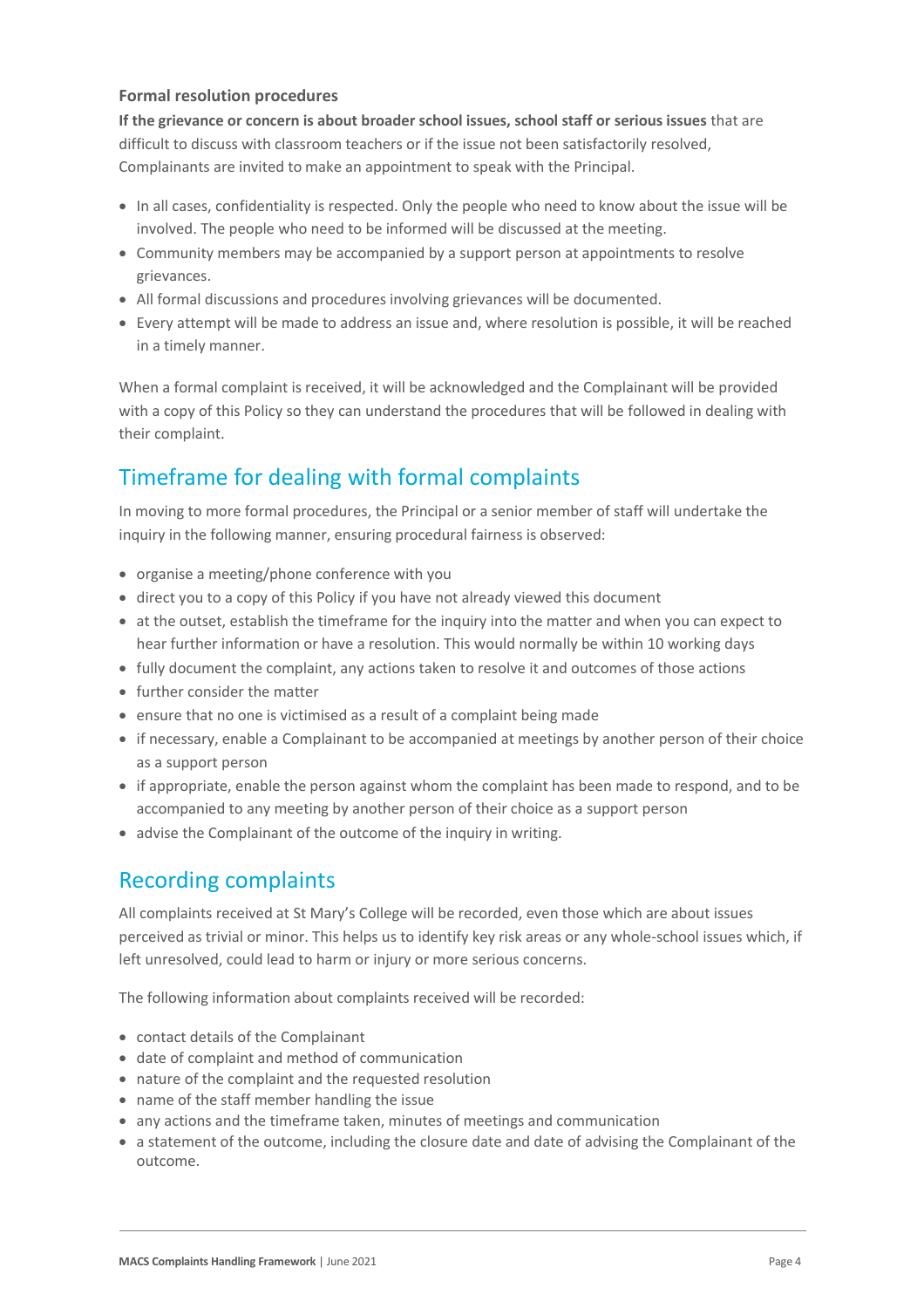#### **Formal resolution procedures**

**If the grievance or concern is about broader school issues, school staff or serious issues** that are difficult to discuss with classroom teachers or if the issue not been satisfactorily resolved, Complainants are invited to make an appointment to speak with the Principal.

- In all cases, confidentiality is respected. Only the people who need to know about the issue will be involved. The people who need to be informed will be discussed at the meeting.
- Community members may be accompanied by a support person at appointments to resolve grievances.
- All formal discussions and procedures involving grievances will be documented.
- Every attempt will be made to address an issue and, where resolution is possible, it will be reached in a timely manner.

When a formal complaint is received, it will be acknowledged and the Complainant will be provided with a copy of this Policy so they can understand the procedures that will be followed in dealing with their complaint.

# Timeframe for dealing with formal complaints

In moving to more formal procedures, the Principal or a senior member of staff will undertake the inquiry in the following manner, ensuring procedural fairness is observed:

- organise a meeting/phone conference with you
- direct you to a copy of this Policy if you have not already viewed this document
- at the outset, establish the timeframe for the inquiry into the matter and when you can expect to hear further information or have a resolution. This would normally be within 10 working days
- fully document the complaint, any actions taken to resolve it and outcomes of those actions
- further consider the matter
- ensure that no one is victimised as a result of a complaint being made
- if necessary, enable a Complainant to be accompanied at meetings by another person of their choice as a support person
- if appropriate, enable the person against whom the complaint has been made to respond, and to be accompanied to any meeting by another person of their choice as a support person
- advise the Complainant of the outcome of the inquiry in writing.

### Recording complaints

All complaints received at St Mary's College will be recorded, even those which are about issues perceived as trivial or minor. This helps us to identify key risk areas or any whole-school issues which, if left unresolved, could lead to harm or injury or more serious concerns.

The following information about complaints received will be recorded:

- contact details of the Complainant
- date of complaint and method of communication
- nature of the complaint and the requested resolution
- name of the staff member handling the issue
- any actions and the timeframe taken, minutes of meetings and communication
- a statement of the outcome, including the closure date and date of advising the Complainant of the outcome.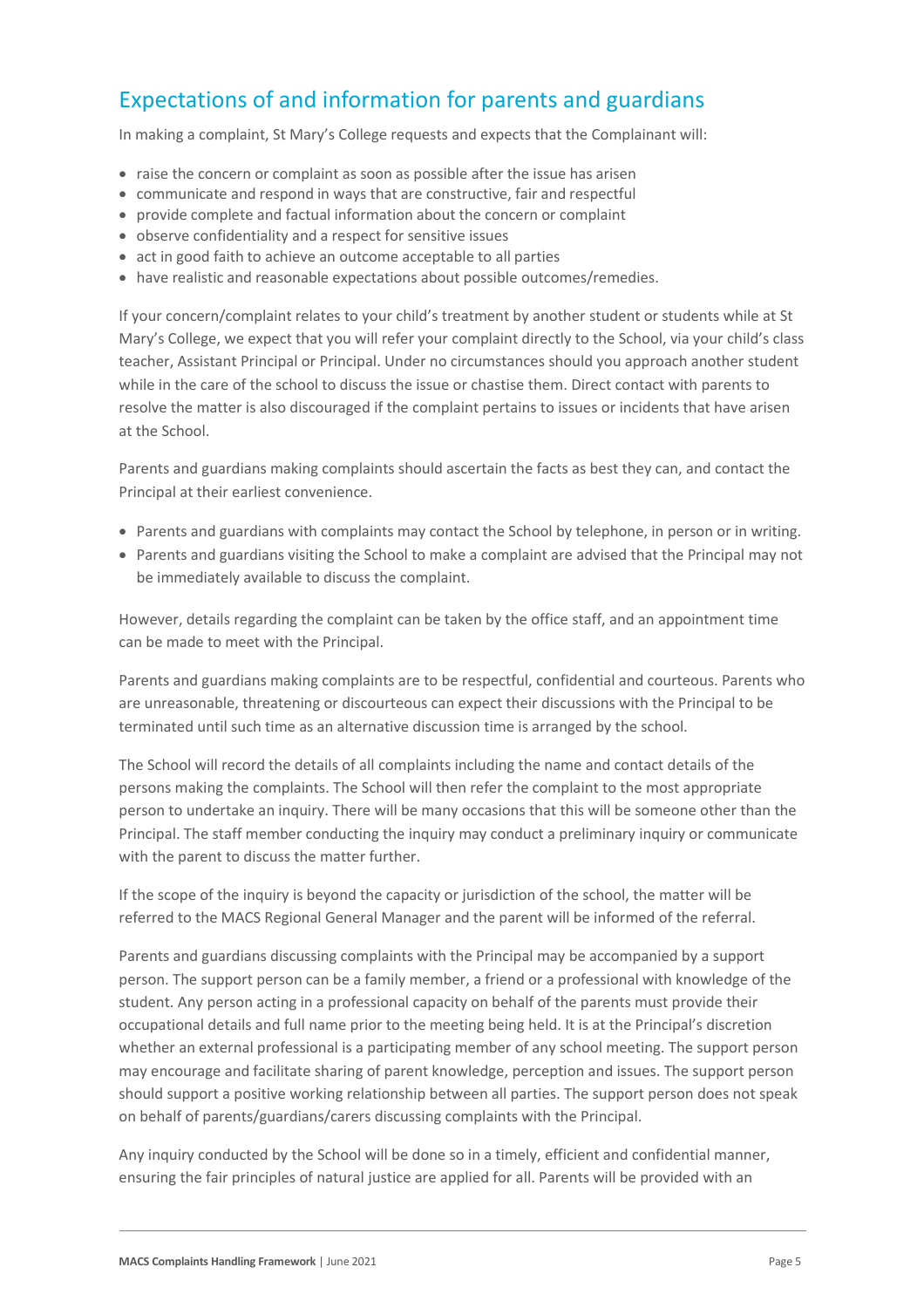# Expectations of and information for parents and guardians

In making a complaint, St Mary's College requests and expects that the Complainant will:

- raise the concern or complaint as soon as possible after the issue has arisen
- communicate and respond in ways that are constructive, fair and respectful
- provide complete and factual information about the concern or complaint
- observe confidentiality and a respect for sensitive issues
- act in good faith to achieve an outcome acceptable to all parties
- have realistic and reasonable expectations about possible outcomes/remedies.

If your concern/complaint relates to your child's treatment by another student or students while at St Mary's College, we expect that you will refer your complaint directly to the School, via your child's class teacher, Assistant Principal or Principal. Under no circumstances should you approach another student while in the care of the school to discuss the issue or chastise them. Direct contact with parents to resolve the matter is also discouraged if the complaint pertains to issues or incidents that have arisen at the School.

Parents and guardians making complaints should ascertain the facts as best they can, and contact the Principal at their earliest convenience.

- Parents and guardians with complaints may contact the School by telephone, in person or in writing.
- Parents and guardians visiting the School to make a complaint are advised that the Principal may not be immediately available to discuss the complaint.

However, details regarding the complaint can be taken by the office staff, and an appointment time can be made to meet with the Principal.

Parents and guardians making complaints are to be respectful, confidential and courteous. Parents who are unreasonable, threatening or discourteous can expect their discussions with the Principal to be terminated until such time as an alternative discussion time is arranged by the school.

The School will record the details of all complaints including the name and contact details of the persons making the complaints. The School will then refer the complaint to the most appropriate person to undertake an inquiry. There will be many occasions that this will be someone other than the Principal. The staff member conducting the inquiry may conduct a preliminary inquiry or communicate with the parent to discuss the matter further.

If the scope of the inquiry is beyond the capacity or jurisdiction of the school, the matter will be referred to the MACS Regional General Manager and the parent will be informed of the referral.

Parents and guardians discussing complaints with the Principal may be accompanied by a support person. The support person can be a family member, a friend or a professional with knowledge of the student. Any person acting in a professional capacity on behalf of the parents must provide their occupational details and full name prior to the meeting being held. It is at the Principal's discretion whether an external professional is a participating member of any school meeting. The support person may encourage and facilitate sharing of parent knowledge, perception and issues. The support person should support a positive working relationship between all parties. The support person does not speak on behalf of parents/guardians/carers discussing complaints with the Principal.

Any inquiry conducted by the School will be done so in a timely, efficient and confidential manner, ensuring the fair principles of natural justice are applied for all. Parents will be provided with an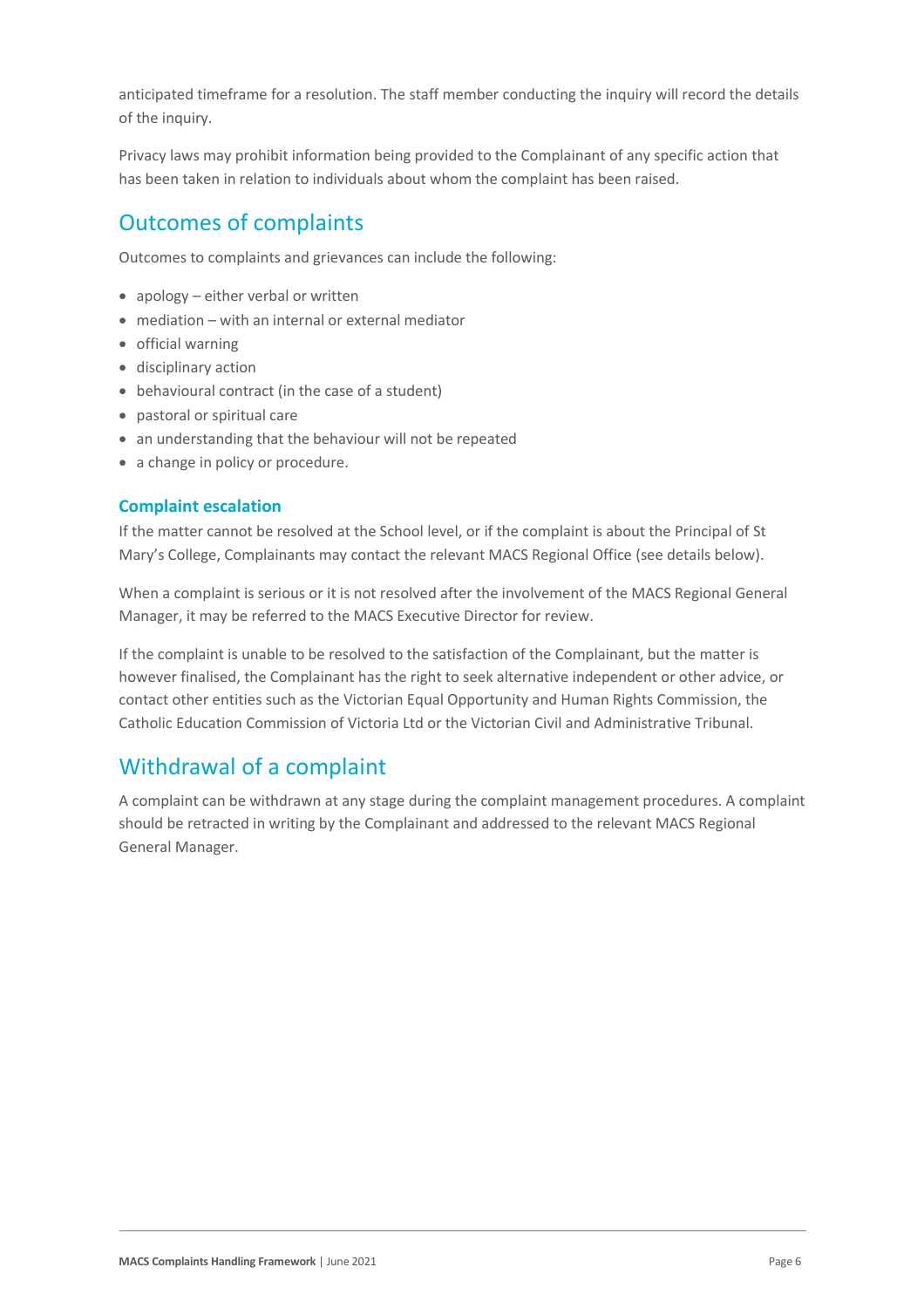anticipated timeframe for a resolution. The staff member conducting the inquiry will record the details of the inquiry.

Privacy laws may prohibit information being provided to the Complainant of any specific action that has been taken in relation to individuals about whom the complaint has been raised.

# Outcomes of complaints

Outcomes to complaints and grievances can include the following:

- apology either verbal or written
- mediation with an internal or external mediator
- official warning
- disciplinary action
- behavioural contract (in the case of a student)
- pastoral or spiritual care
- an understanding that the behaviour will not be repeated
- a change in policy or procedure.

#### **Complaint escalation**

If the matter cannot be resolved at the School level, or if the complaint is about the Principal of St Mary's College, Complainants may contact the relevant MACS Regional Office (see details below).

When a complaint is serious or it is not resolved after the involvement of the MACS Regional General Manager, it may be referred to the MACS Executive Director for review.

If the complaint is unable to be resolved to the satisfaction of the Complainant, but the matter is however finalised, the Complainant has the right to seek alternative independent or other advice, or contact other entities such as the Victorian Equal Opportunity and Human Rights Commission, the Catholic Education Commission of Victoria Ltd or the Victorian Civil and Administrative Tribunal.

### Withdrawal of a complaint

A complaint can be withdrawn at any stage during the complaint management procedures. A complaint should be retracted in writing by the Complainant and addressed to the relevant MACS Regional General Manager.